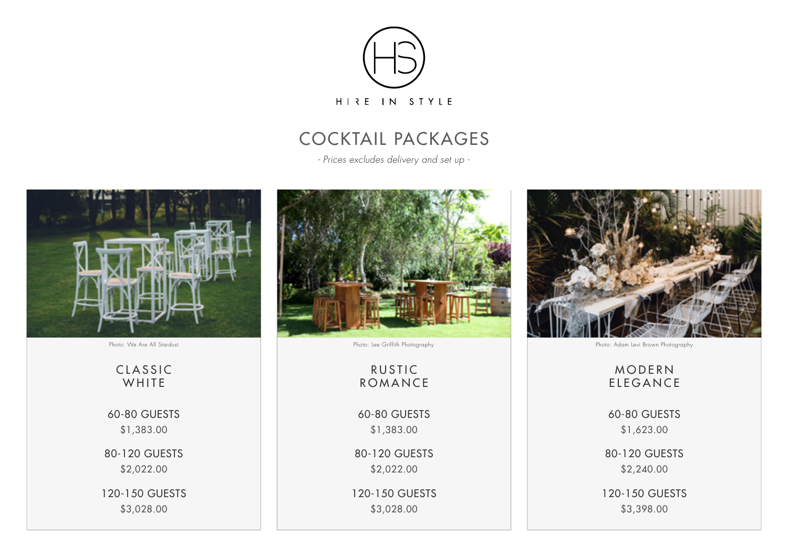

# COCKTAIL PACKAGES

*- Prices excludes delivery and set up -*



Photo: We Are All Stardust

**CLASSIC WHITE** 

60-80 GUESTS \$1,400.00

80-120 GUESTS \$2,060.00

120-150 GUESTS \$3,080.00

Photo: We Are All Stardust

RUSTIC ROMANCE

60-80 GUESTS \$1,400.00

80-120 GUESTS \$2,060.00

120-150 GUESTS \$3,080.00



Photo: Adam Levi Brown Photography

# MOD ERN E L EGAN CE

60-80 GUESTS \$1,550.00

80-120 GUESTS \$2,130.00

120-150 GUESTS \$3,190.00